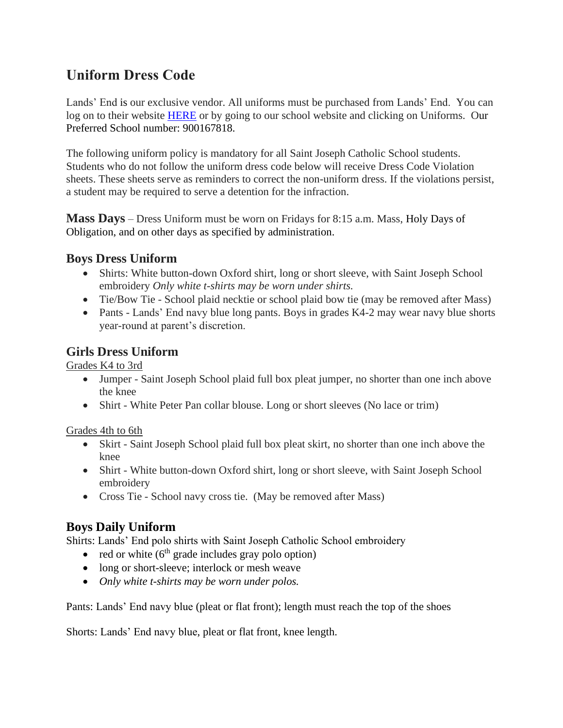# **Uniform Dress Code**

Lands' End is our exclusive vendor. All uniforms must be purchased from Lands' End. You can log on to their website [HERE](http://www.landsend.com/pp/SchoolSearch.html?selectedSchoolNum=900167818&action=landing) or by going to our school website and clicking on Uniforms. Our Preferred School number: 900167818.

The following uniform policy is mandatory for all Saint Joseph Catholic School students. Students who do not follow the uniform dress code below will receive Dress Code Violation sheets. These sheets serve as reminders to correct the non-uniform dress. If the violations persist, a student may be required to serve a detention for the infraction.

**Mass Days** – Dress Uniform must be worn on Fridays for 8:15 a.m. Mass, Holy Days of Obligation, and on other days as specified by administration.

# **Boys Dress Uniform**

- Shirts: White button-down Oxford shirt, long or short sleeve, with Saint Joseph School embroidery *Only white t-shirts may be worn under shirts.*
- Tie/Bow Tie School plaid necktie or school plaid bow tie (may be removed after Mass)
- Pants Lands' End navy blue long pants. Boys in grades K4-2 may wear navy blue shorts year-round at parent's discretion.

## **Girls Dress Uniform**

Grades K4 to 3rd

- Jumper Saint Joseph School plaid full box pleat jumper, no shorter than one inch above the knee
- Shirt White Peter Pan collar blouse. Long or short sleeves (No lace or trim)

Grades 4th to 6th

- Skirt Saint Joseph School plaid full box pleat skirt, no shorter than one inch above the knee
- Shirt White button-down Oxford shirt, long or short sleeve, with Saint Joseph School embroidery
- Cross Tie School navy cross tie. (May be removed after Mass)

# **Boys Daily Uniform**

Shirts: Lands' End polo shirts with Saint Joseph Catholic School embroidery

- red or white  $(6<sup>th</sup> \text{ grade includes } \text{gray polo option})$
- long or short-sleeve; interlock or mesh weave
- *Only white t-shirts may be worn under polos.*

Pants: Lands' End navy blue (pleat or flat front); length must reach the top of the shoes

Shorts: Lands' End navy blue, pleat or flat front, knee length.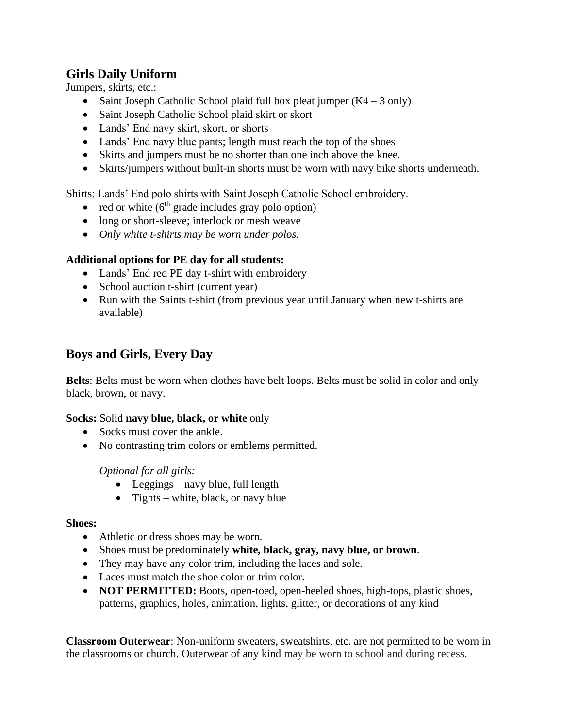# **Girls Daily Uniform**

Jumpers, skirts, etc.:

- Saint Joseph Catholic School plaid full box pleat jumper  $(K4 3 \text{ only})$
- Saint Joseph Catholic School plaid skirt or skort
- Lands' End navy skirt, skort, or shorts
- Lands' End navy blue pants; length must reach the top of the shoes
- Skirts and jumpers must be no shorter than one inch above the knee.
- Skirts/jumpers without built-in shorts must be worn with navy bike shorts underneath.

Shirts: Lands' End polo shirts with Saint Joseph Catholic School embroidery.

- red or white  $(6<sup>th</sup> \text{ grade includes } \text{gray polo option})$
- long or short-sleeve; interlock or mesh weave
- *Only white t-shirts may be worn under polos.*

#### **Additional options for PE day for all students:**

- Lands' End red PE day t-shirt with embroidery
- School auction t-shirt (current year)
- Run with the Saints t-shirt (from previous year until January when new t-shirts are available)

# **Boys and Girls, Every Day**

**Belts**: Belts must be worn when clothes have belt loops. Belts must be solid in color and only black, brown, or navy.

#### **Socks:** Solid **navy blue, black, or white** only

- Socks must cover the ankle.
- No contrasting trim colors or emblems permitted.

#### *Optional for all girls:*

- Leggings navy blue, full length
- Tights white, black, or navy blue

#### **Shoes:**

- Athletic or dress shoes may be worn.
- Shoes must be predominately **white, black, gray, navy blue, or brown**.
- They may have any color trim, including the laces and sole.
- Laces must match the shoe color or trim color.
- **NOT PERMITTED:** Boots, open-toed, open-heeled shoes, high-tops, plastic shoes, patterns, graphics, holes, animation, lights, glitter, or decorations of any kind

**Classroom Outerwear**: Non-uniform sweaters, sweatshirts, etc. are not permitted to be worn in the classrooms or church. Outerwear of any kind may be worn to school and during recess.